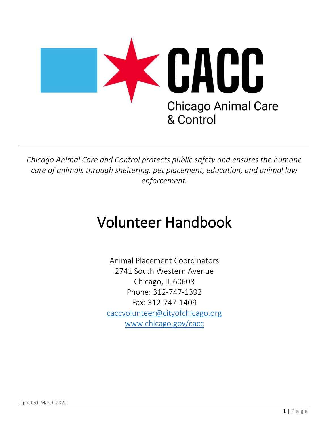

*Chicago Animal Care and Control protects public safety and ensures the humane care of animals through sheltering, pet placement, education, and animal law enforcement.* 

# Volunteer Handbook

Animal Placement Coordinators 2741 South Western Avenue Chicago, IL 60608 Phone: 312-747-1392 Fax: 312-747-1409 caccvolunteer@cityofchicago.org www.chicago.gov/cacc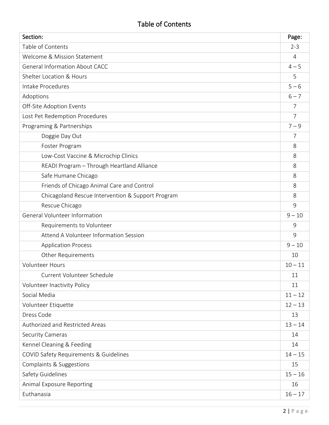# Table of Contents

| Section:                                          | Page:          |
|---------------------------------------------------|----------------|
| Table of Contents                                 | $2 - 3$        |
| Welcome & Mission Statement                       | $\overline{4}$ |
| <b>General Information About CACC</b>             | $4 - 5$        |
| Shelter Location & Hours                          | 5              |
| Intake Procedures                                 | $5 - 6$        |
| Adoptions                                         | $6 - 7$        |
| Off-Site Adoption Events                          | 7              |
| Lost Pet Redemption Procedures                    | $\overline{7}$ |
| Programing & Partnerships                         | $7 - 9$        |
| Doggie Day Out                                    | 7              |
| Foster Program                                    | 8              |
| Low-Cost Vaccine & Microchip Clinics              | 8              |
| READI Program - Through Heartland Alliance        | 8              |
| Safe Humane Chicago                               | 8              |
| Friends of Chicago Animal Care and Control        | 8              |
| Chicagoland Rescue Intervention & Support Program | 8              |
| Rescue Chicago                                    | 9              |
| General Volunteer Information                     | $9 - 10$       |
| Requirements to Volunteer                         | 9              |
| Attend A Volunteer Information Session            | 9              |
| <b>Application Process</b>                        | $9 - 10$       |
| <b>Other Requirements</b>                         | 10             |
| <b>Volunteer Hours</b>                            | $10 - 11$      |
| Current Volunteer Schedule                        | 11             |
| Volunteer Inactivity Policy                       | 11             |
| Social Media                                      | $11 - 12$      |
| Volunteer Etiquette                               | $12 - 13$      |
| Dress Code                                        | 13             |
| Authorized and Restricted Areas                   | $13 - 14$      |
| Security Cameras                                  | 14             |
| Kennel Cleaning & Feeding                         | 14             |
| COVID Safety Requirements & Guidelines            | $14 - 15$      |
| Complaints & Suggestions                          | 15             |
| Safety Guidelines                                 | $15 - 16$      |
| Animal Exposure Reporting                         | 16             |
| Euthanasia                                        | $16 - 17$      |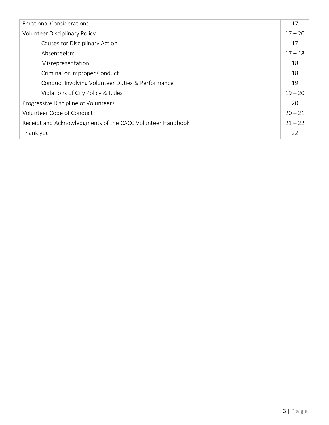| <b>Emotional Considerations</b>                            | 17        |
|------------------------------------------------------------|-----------|
| <b>Volunteer Disciplinary Policy</b>                       | $17 - 20$ |
| Causes for Disciplinary Action                             | 17        |
| Absenteeism                                                | $17 - 18$ |
| Misrepresentation                                          | 18        |
| Criminal or Improper Conduct                               | 18        |
| Conduct Involving Volunteer Duties & Performance           | 19        |
| Violations of City Policy & Rules                          | $19 - 20$ |
| Progressive Discipline of Volunteers                       | 20        |
| Volunteer Code of Conduct                                  | $20 - 21$ |
| Receipt and Acknowledgments of the CACC Volunteer Handbook | $21 - 22$ |
| Thank you!                                                 | 22        |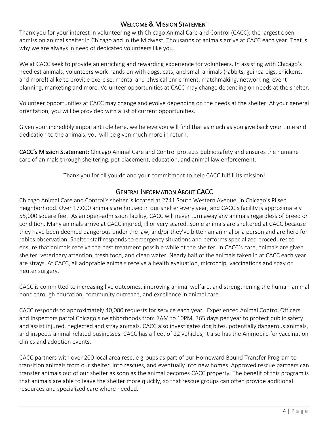# WELCOME & MISSION STATEMENT

Thank you for your interest in volunteering with Chicago Animal Care and Control (CACC), the largest open admission animal shelter in Chicago and in the Midwest. Thousands of animals arrive at CACC each year. That is why we are always in need of dedicated volunteers like you.

We at CACC seek to provide an enriching and rewarding experience for volunteers. In assisting with Chicago's neediest animals, volunteers work hands on with dogs, cats, and small animals (rabbits, guinea pigs, chickens, and more!) alike to provide exercise, mental and physical enrichment, matchmaking, networking, event planning, marketing and more. Volunteer opportunities at CACC may change depending on needs at the shelter.

Volunteer opportunities at CACC may change and evolve depending on the needs at the shelter. At your general orientation, you will be provided with a list of current opportunities.

Given your incredibly important role here, we believe you will find that as much as you give back your time and dedication to the animals, you will be given much more in return.

CACC's Mission Statement: Chicago Animal Care and Control protects public safety and ensures the humane care of animals through sheltering, pet placement, education, and animal law enforcement.

Thank you for all you do and your commitment to help CACC fulfill its mission!

# GENERAL INFORMATION ABOUT CACC

Chicago Animal Care and Control's shelter is located at 2741 South Western Avenue, in Chicago's Pilsen neighborhood. Over 17,000 animals are housed in our shelter every year, and CACC's facility is approximately 55,000 square feet. As an open-admission facility, CACC will never turn away any animals regardless of breed or condition. Many animals arrive at CACC injured, ill or very scared. Some animals are sheltered at CACC because they have been deemed dangerous under the law, and/or they've bitten an animal or a person and are here for rabies observation. Shelter staff responds to emergency situations and performs specialized procedures to ensure that animals receive the best treatment possible while at the shelter. In CACC's care, animals are given shelter, veterinary attention, fresh food, and clean water. Nearly half of the animals taken in at CACC each year are strays. At CACC, all adoptable animals receive a health evaluation, microchip, vaccinations and spay or neuter surgery.

CACC is committed to increasing live outcomes, improving animal welfare, and strengthening the human-animal bond through education, community outreach, and excellence in animal care.

CACC responds to approximately 40,000 requests for service each year. Experienced Animal Control Officers and Inspectors patrol Chicago's neighborhoods from 7AM to 10PM, 365 days per year to protect public safety and assist injured, neglected and stray animals. CACC also investigates dog bites, potentially dangerous animals, and inspects animal-related businesses. CACC has a fleet of 22 vehicles; it also has the Animobile for vaccination clinics and adoption events.

CACC partners with over 200 local area rescue groups as part of our Homeward Bound Transfer Program to transition animals from our shelter, into rescues, and eventually into new homes. Approved rescue partners can transfer animals out of our shelter as soon as the animal becomes CACC property. The benefit of this program is that animals are able to leave the shelter more quickly, so that rescue groups can often provide additional resources and specialized care where needed.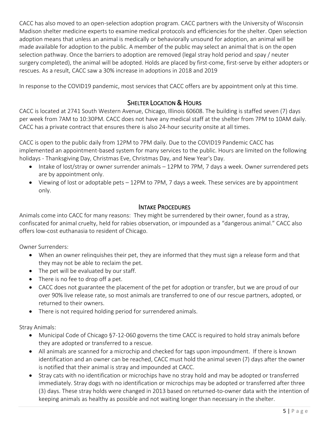CACC has also moved to an open-selection adoption program. CACC partners with the University of Wisconsin Madison shelter medicine experts to examine medical protocols and efficiencies for the shelter. Open selection adoption means that unless an animal is medically or behaviorally unsound for adoption, an animal will be made available for adoption to the public. A member of the public may select an animal that is on the open selection pathway. Once the barriers to adoption are removed (legal stray hold period and spay / neuter surgery completed), the animal will be adopted. Holds are placed by first-come, first-serve by either adopters or rescues. As a result, CACC saw a 30% increase in adoptions in 2018 and 2019

In response to the COVID19 pandemic, most services that CACC offers are by appointment only at this time.

# **SHELTER LOCATION & HOURS**

CACC is located at 2741 South Western Avenue, Chicago, Illinois 60608. The building is staffed seven (7) days per week from 7AM to 10:30PM. CACC does not have any medical staff at the shelter from 7PM to 10AM daily. CACC has a private contract that ensures there is also 24-hour security onsite at all times.

CACC is open to the public daily from 12PM to 7PM daily. Due to the COVID19 Pandemic CACC has implemented an appointment-based system for many services to the public. Hours are limited on the following holidays - Thanksgiving Day, Christmas Eve, Christmas Day, and New Year's Day.

- Intake of lost/stray or owner surrender animals 12PM to 7PM, 7 days a week. Owner surrendered pets are by appointment only.
- Viewing of lost or adoptable pets 12PM to 7PM, 7 days a week. These services are by appointment only.

#### INTAKE PROCEDURES

Animals come into CACC for many reasons: They might be surrendered by their owner, found as a stray, confiscated for animal cruelty, held for rabies observation, or impounded as a "dangerous animal." CACC also offers low-cost euthanasia to resident of Chicago.

Owner Surrenders:

- When an owner relinquishes their pet, they are informed that they must sign a release form and that they may not be able to reclaim the pet.
- The pet will be evaluated by our staff.
- There is no fee to drop off a pet.
- CACC does not guarantee the placement of the pet for adoption or transfer, but we are proud of our over 90% live release rate, so most animals are transferred to one of our rescue partners, adopted, or returned to their owners.
- There is not required holding period for surrendered animals.

Stray Animals:

- Municipal Code of Chicago §7-12-060 governs the time CACC is required to hold stray animals before they are adopted or transferred to a rescue.
- All animals are scanned for a microchip and checked for tags upon impoundment. If there is known identification and an owner can be reached, CACC must hold the animal seven (7) days after the owner is notified that their animal is stray and impounded at CACC.
- Stray cats with no identification or microchips have no stray hold and may be adopted or transferred immediately. Stray dogs with no identification or microchips may be adopted or transferred after three (3) days. These stray holds were changed in 2013 based on returned-to-owner data with the intention of keeping animals as healthy as possible and not waiting longer than necessary in the shelter.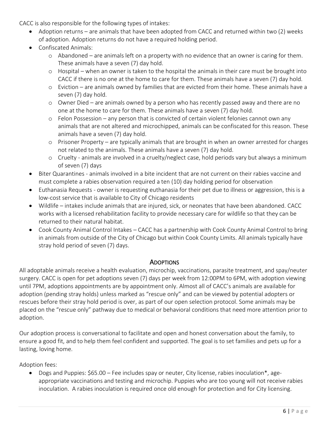CACC is also responsible for the following types of intakes:

- Adoption returns are animals that have been adopted from CACC and returned within two (2) weeks of adoption. Adoption returns do not have a required holding period.
- Confiscated Animals:
	- o Abandoned are animals left on a property with no evidence that an owner is caring for them. These animals have a seven (7) day hold.
	- o Hospital when an owner is taken to the hospital the animals in their care must be brought into CACC if there is no one at the home to care for them. These animals have a seven (7) day hold.
	- o Eviction are animals owned by families that are evicted from their home. These animals have a seven (7) day hold.
	- o Owner Died are animals owned by a person who has recently passed away and there are no one at the home to care for them. These animals have a seven (7) day hold.
	- o Felon Possession any person that is convicted of certain violent felonies cannot own any animals that are not altered and microchipped, animals can be confiscated for this reason. These animals have a seven (7) day hold.
	- o Prisoner Property are typically animals that are brought in when an owner arrested for charges not related to the animals. These animals have a seven (7) day hold.
	- o Cruelty animals are involved in a cruelty/neglect case, hold periods vary but always a minimum of seven (7) days
- Biter Quarantines animals involved in a bite incident that are not current on their rabies vaccine and must complete a rabies observation required a ten (10) day holding period for observation
- Euthanasia Requests owner is requesting euthanasia for their pet due to illness or aggression, this is a low-cost service that is available to City of Chicago residents
- Wildlife intakes include animals that are injured, sick, or neonates that have been abandoned. CACC works with a licensed rehabilitation facility to provide necessary care for wildlife so that they can be returned to their natural habitat.
- Cook County Animal Control Intakes CACC has a partnership with Cook County Animal Control to bring in animals from outside of the City of Chicago but within Cook County Limits. All animals typically have stray hold period of seven (7) days.

#### **ADOPTIONS**

All adoptable animals receive a health evaluation, microchip, vaccinations, parasite treatment, and spay/neuter surgery. CACC is open for pet adoptions seven (7) days per week from 12:00PM to 6PM, with adoption viewing until 7PM, adoptions appointments are by appointment only. Almost all of CACC's animals are available for adoption (pending stray holds) unless marked as "rescue only" and can be viewed by potential adopters or rescues before their stray hold period is over, as part of our open selection protocol. Some animals may be placed on the "rescue only" pathway due to medical or behavioral conditions that need more attention prior to adoption.

Our adoption process is conversational to facilitate and open and honest conversation about the family, to ensure a good fit, and to help them feel confident and supported. The goal is to set families and pets up for a lasting, loving home.

Adoption fees:

• Dogs and Puppies: \$65.00 – Fee includes spay or neuter, City license, rabies inoculation\*, ageappropriate vaccinations and testing and microchip. Puppies who are too young will not receive rabies inoculation. A rabies inoculation is required once old enough for protection and for City licensing.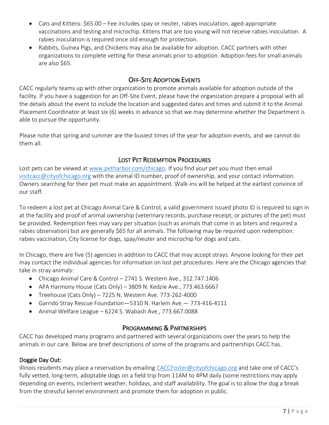- Cats and Kittens: \$65.00 Fee includes spay or neuter, rabies inoculation, aged-appropriate vaccinations and testing and microchip. Kittens that are too young will not receive rabies inoculation. A rabies inoculation is required once old enough for protection.
- Rabbits, Guinea Pigs, and Chickens may also be available for adoption. CACC partners with other organizations to complete vetting for these animals prior to adoption. Adoption fees for small animals are also \$65.

# OFF-SITE ADOPTION EVENTS

CACC regularly teams up with other organization to promote animals available for adoption outside of the facility. If you have a suggestion for an Off-Site Event, please have the organization prepare a proposal with all the details about the event to include the location and suggested dates and times and submit it to the Animal Placement Coordinator at least six (6) weeks in advance so that we may determine whether the Department is able to pursue the opportunity.

Please note that spring and summer are the busiest times of the year for adoption events, and we cannot do them all.

# LOST PET REDEMPTION PROCEDURES

Lost pets can be viewed at www.petharbor.com/chicago. If you find your pet you must then email visitcacc@cityofchicago.org with the animal ID number, proof of ownership, and your contact information. Owners searching for their pet must make an appointment. Walk-ins will be helped at the earliest convince of our staff.

To redeem a lost pet at Chicago Animal Care & Control, a valid government issued photo ID is required to sign in at the facility and proof of animal ownership (veterinary records, purchase receipt, or pictures of the pet) must be provided. Redemption fees may vary per situation (such as animals that come in as biters and required a rabies observation) but are generally \$65 for all animals. The following may be required upon redemption: rabies vaccination, City license for dogs, spay/neuter and microchip for dogs and cats.

In Chicago, there are five (5) agencies in addition to CACC that may accept strays. Anyone looking for their pet may contact the individual agencies for information on lost pet procedures. Here are the Chicago agencies that take in stray animals:

- Chicago Animal Care & Control 2741 S. Western Ave., 312.747.1406
- APA Harmony House (Cats Only) 3809 N. Kedzie Ave., 773.463.6667
- Treehouse (Cats Only) 7225 N. Western Ave. 773-262-4000
- Garrido Stray Rescue Foundation—5310 N. Harlem Ave.— 773-416-4111
- Animal Welfare League 6224 S. Wabash Ave., 773.667.0088

# PROGRAMMING & PARTNERSHIPS

CACC has developed many programs and partnered with several organizations over the years to help the animals in our care. Below are brief descriptions of some of the programs and partnerships CACC has.

#### Doggie Day Out:

Illinois residents may place a reservation by emailing CACCFoster@cityofchicago.org and take one of CACC's fully vetted, long-term, adoptable dogs on a field trip from 11AM to 4PM daily (some restrictions may apply depending on events, inclement weather, holidays, and staff availability. The goal is to allow the dog a break from the stressful kennel environment and promote them for adoption in public.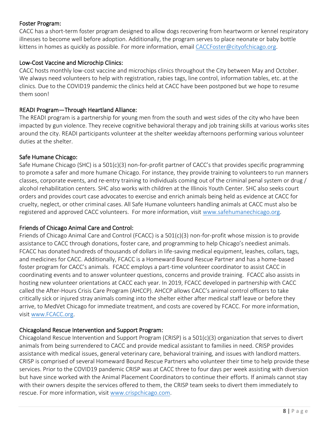#### Foster Program:

CACC has a short-term foster program designed to allow dogs recovering from heartworm or kennel respiratory illnesses to become well before adoption. Additionally, the program serves to place neonate or baby bottle kittens in homes as quickly as possible. For more information, email CACCFoster@cityofchicago.org.

#### Low-Cost Vaccine and Microchip Clinics:

CACC hosts monthly low-cost vaccine and microchips clinics throughout the City between May and October. We always need volunteers to help with registration, rabies tags, line control, information tables, etc. at the clinics. Due to the COVID19 pandemic the clinics held at CACC have been postponed but we hope to resume them soon!

#### READI Program—Through Heartland Alliance:

The READI program is a partnership for young men from the south and west sides of the city who have been impacted by gun violence. They receive cognitive behavioral therapy and job training skills at various works sites around the city. READI participants volunteer at the shelter weekday afternoons performing various volunteer duties at the shelter.

#### Safe Humane Chicago:

Safe Humane Chicago (SHC) is a 501(c)(3) non-for-profit partner of CACC's that provides specific programming to promote a safer and more humane Chicago. For instance, they provide training to volunteers to run manners classes, corporate events, and re-entry training to individuals coming out of the criminal penal system or drug / alcohol rehabilitation centers. SHC also works with children at the Illinois Youth Center. SHC also seeks court orders and provides court case advocates to exercise and enrich animals being held as evidence at CACC for cruelty, neglect, or other criminal cases. All Safe Humane volunteers handling animals at CACC must also be registered and approved CACC volunteers. For more information, visit www.safehumanechicago.org.

#### Friends of Chicago Animal Care and Control:

Friends of Chicago Animal Care and Control (FCACC) is a 501(c)(3) non-for-profit whose mission is to provide assistance to CACC through donations, foster care, and programming to help Chicago's neediest animals. FCACC has donated hundreds of thousands of dollars in life-saving medical equipment, leashes, collars, tags, and medicines for CACC. Additionally, FCACC is a Homeward Bound Rescue Partner and has a home-based foster program for CACC's animals. FCACC employs a part-time volunteer coordinator to assist CACC in coordinating events and to answer volunteer questions, concerns and provide training. FCACC also assists in hosting new volunteer orientations at CACC each year. In 2019, FCACC developed in partnership with CACC called the After-Hours Crisis Care Program (AHCCP). AHCCP allows CACC's animal control officers to take critically sick or injured stray animals coming into the shelter either after medical staff leave or before they arrive, to MedVet Chicago for immediate treatment, and costs are covered by FCACC. For more information, visit www.FCACC.org.

#### Chicagoland Rescue Intervention and Support Program:

Chicagoland Rescue Intervention and Support Program (CRISP) is a 501(c)(3) organization that serves to divert animals from being surrendered to CACC and provide medical assistant to families in need. CRISP provides assistance with medical issues, general veterinary care, behavioral training, and issues with landlord matters. CRISP is comprised of several Homeward Bound Rescue Partners who volunteer their time to help provide these services. Prior to the COVID19 pandemic CRISP was at CACC three to four days per week assisting with diversion but have since worked with the Animal Placement Coordinators to continue their efforts. If animals cannot stay with their owners despite the services offered to them, the CRISP team seeks to divert them immediately to rescue. For more information, visit www.crispchicago.com.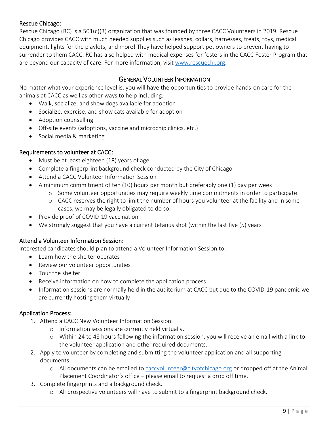#### Rescue Chicago:

Rescue Chicago (RC) is a 501(c)(3) organization that was founded by three CACC Volunteers in 2019. Rescue Chicago provides CACC with much needed supplies such as leashes, collars, harnesses, treats, toys, medical equipment, lights for the playlots, and more! They have helped support pet owners to prevent having to surrender to them CACC. RC has also helped with medical expenses for fosters in the CACC Foster Program that are beyond our capacity of care. For more information, visit www.rescuechi.org.

#### GENERAL VOLUNTEER INFORMATION

No matter what your experience level is, you will have the opportunities to provide hands-on care for the animals at CACC as well as other ways to help including:

- Walk, socialize, and show dogs available for adoption
- Socialize, exercise, and show cats available for adoption
- Adoption counselling
- Off-site events (adoptions, vaccine and microchip clinics, etc.)
- Social media & marketing

#### Requirements to volunteer at CACC:

- Must be at least eighteen (18) years of age
- Complete a fingerprint background check conducted by the City of Chicago
- Attend a CACC Volunteer Information Session
- A minimum commitment of ten (10) hours per month but preferably one (1) day per week
	- o Some volunteer opportunities may require weekly time commitments in order to participate
	- o CACC reserves the right to limit the number of hours you volunteer at the facility and in some cases, we may be legally obligated to do so.
- Provide proof of COVID-19 vaccination
- We strongly suggest that you have a current tetanus shot (within the last five (5) years

#### Attend a Volunteer Information Session:

Interested candidates should plan to attend a Volunteer Information Session to:

- Learn how the shelter operates
- Review our volunteer opportunities
- Tour the shelter
- Receive information on how to complete the application process
- Information sessions are normally held in the auditorium at CACC but due to the COVID-19 pandemic we are currently hosting them virtually

#### Application Process:

- 1. Attend a CACC New Volunteer Information Session.
	- o Information sessions are currently held virtually.
	- o Within 24 to 48 hours following the information session, you will receive an email with a link to the volunteer application and other required documents.
- 2. Apply to volunteer by completing and submitting the volunteer application and all supporting documents.
	- o All documents can be emailed to caccvolunteer@cityofchicago.org or dropped off at the Animal Placement Coordinator's office – please email to request a drop off time.
- 3. Complete fingerprints and a background check.
	- o All prospective volunteers will have to submit to a fingerprint background check.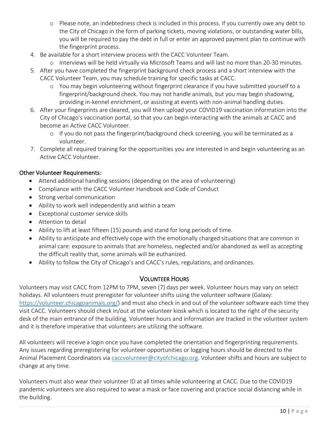- o Please note, an indebtedness check is included in this process. If you currently owe any debt to the City of Chicago in the form of parking tickets, moving violations, or outstanding water bills, you will be required to pay the debt in full or enter an approved payment plan to continue with the fingerprint process.
- 4. Be available for a short interview process with the CACC Volunteer Team.
	- o Interviews will be held virtually via Microsoft Teams and will last no more than 20-30 minutes.
- 5. After you have completed the fingerprint background check process and a short interview with the CACC Volunteer Team, you may schedule training for specific tasks at CACC.
	- o You may begin volunteering without fingerprint clearance if you have submitted yourself to a fingerprint/background check. You may not handle animals, but you may begin shadowing, providing in-kennel enrichment, or assisting at events with non-animal handling duties.
- 6. After your fingerprints are cleared, you will then upload your COVID19 vaccination information into the City of Chicago's vaccination portal, so that you can begin interacting with the animals at CACC and become an Active CACC Volunteer.
	- o If you do not pass the fingerprint/background check screening, you will be terminated as a volunteer.
- 7. Complete all required training for the opportunities you are interested in and begin volunteering as an Active CACC Volunteer.

# Other Volunteer Requirements:

- Attend additional handling sessions (depending on the area of volunteering)
- Compliance with the CACC Volunteer Handbook and Code of Conduct
- Strong verbal communication
- Ability to work well independently and within a team
- Exceptional customer service skills
- Attention to detail
- Ability to lift at least fifteen (15) pounds and stand for long periods of time.
- Ability to anticipate and effectively cope with the emotionally charged situations that are common in animal care: exposure to animals that are homeless, neglected and/or abandoned as well as accepting the difficult reality that, some animals will be euthanized.
- Ability to follow the City of Chicago's and CACC's rules, regulations, and ordinances.

# VOLUNTEER HOURS

Volunteers may visit CACC from 12PM to 7PM, seven (7) days per week. Volunteer hours may vary on select holidays. All volunteers must preregister for volunteer shifts using the volunteer software (Galaxy: https://volunteer.chicagoanimals.org/) and must also check in and out of the volunteer software each time they visit CACC. Volunteers should check in/out at the volunteer kiosk which is located to the right of the security desk of the main entrance of the building. Volunteer hours and information are tracked in the volunteer system and it is therefore imperative that volunteers are utilizing the software.

All volunteers will receive a login once you have completed the orientation and fingerprinting requirements. Any issues regarding preregistering for volunteer opportunities or logging hours should be directed to the Animal Placement Coordinators via caccvolunteer@cityofchicago.org. Volunteer shifts and hours are subject to change at any time.

Volunteers must also wear their volunteer ID at all times while volunteering at CACC. Due to the COVID19 pandemic volunteers are also required to wear a mask or face covering and practice social distancing while in the building.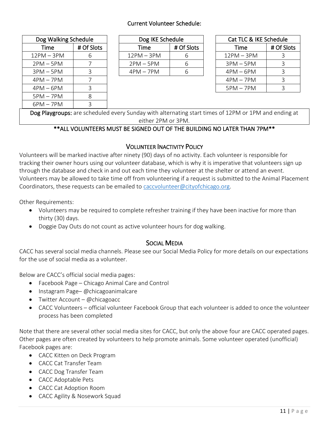#### Current Volunteer Schedule:

| Dog Walking Schedule |            |  |
|----------------------|------------|--|
| Time                 | # Of Slots |  |
| $12PM - 3PM$         | 6          |  |
| $2PM - 5PM$          |            |  |
| $3PM - 5PM$          | Β          |  |
| $4PM - 7PM$          | 7          |  |
| $4PM - 6PM$          | 3          |  |
| $5PM - 7PM$          | 8          |  |
| 6PM – 7PM            | ς          |  |

| Dog IKE Schedule |            |  |
|------------------|------------|--|
| Time             | # Of Slots |  |
| 12PM – 3PM       | 6          |  |
| $2PM - 5PM$      | 6          |  |
| $4PM - 7PM$      | ь          |  |

| Cat TLC & IKE Schedule |            |  |
|------------------------|------------|--|
| Time                   | # Of Slots |  |
| 12PM – 3PM             | З          |  |
| $3PM - 5PM$            | Β          |  |
| $4PM - 6PM$            | 3          |  |
| $4PM - 7PM$            | Β          |  |
| $5PM - 7PM$            | っ          |  |

Dog Playgroups: are scheduled every Sunday with alternating start times of 12PM or 1PM and ending at either 2PM or 3PM.

#### \*\*ALL VOLUNTEERS MUST BE SIGNED OUT OF THE BUILDING NO LATER THAN 7PM\*\*

#### VOLUNTEER INACTIVITY POLICY

Volunteers will be marked inactive after ninety (90) days of no activity. Each volunteer is responsible for tracking their owner hours using our volunteer database, which is why it is imperative that volunteers sign up through the database and check in and out each time they volunteer at the shelter or attend an event. Volunteers may be allowed to take time off from volunteering if a request is submitted to the Animal Placement Coordinators, these requests can be emailed to caccvolunteer@cityofchicago.org.

Other Requirements:

- Volunteers may be required to complete refresher training if they have been inactive for more than thirty (30) days.
- Doggie Day Outs do not count as active volunteer hours for dog walking.

#### SOCIAL MEDIA

CACC has several social media channels. Please see our Social Media Policy for more details on our expectations for the use of social media as a volunteer.

Below are CACC's official social media pages:

- Facebook Page Chicago Animal Care and Control
- Instagram Page– @chicagoanimalcare
- Twitter Account @chicagoacc
- CACC Volunteers official volunteer Facebook Group that each volunteer is added to once the volunteer process has been completed

Note that there are several other social media sites for CACC, but only the above four are CACC operated pages. Other pages are often created by volunteers to help promote animals. Some volunteer operated (unofficial) Facebook pages are:

- CACC Kitten on Deck Program
- CACC Cat Transfer Team
- CACC Dog Transfer Team
- CACC Adoptable Pets
- CACC Cat Adoption Room
- CACC Agility & Nosework Squad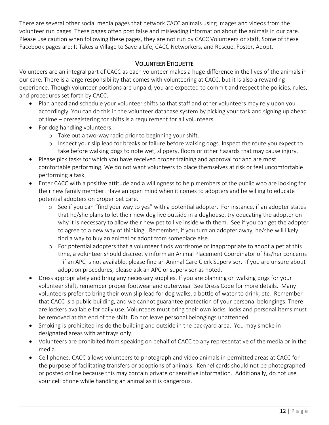There are several other social media pages that network CACC animals using images and videos from the volunteer run pages. These pages often post false and misleading information about the animals in our care. Please use caution when following these pages, they are not run by CACC Volunteers or staff. Some of these Facebook pages are: It Takes a Village to Save a Life, CACC Networkers, and Rescue. Foster. Adopt.

# VOLUNTEER ETIQUETTE

Volunteers are an integral part of CACC as each volunteer makes a huge difference in the lives of the animals in our care. There is a large responsibility that comes with volunteering at CACC, but it is also a rewarding experience. Though volunteer positions are unpaid, you are expected to commit and respect the policies, rules, and procedures set forth by CACC.

- Plan ahead and schedule your volunteer shifts so that staff and other volunteers may rely upon you accordingly. You can do this in the volunteer database system by picking your task and signing up ahead of time – preregistering for shifts is a requirement for all volunteers.
- For dog handling volunteers:
	- o Take out a two-way radio prior to beginning your shift.
	- o Inspect your slip lead for breaks or failure before walking dogs. Inspect the route you expect to take before walking dogs to note wet, slippery, floors or other hazards that may cause injury.
- Please pick tasks for which you have received proper training and approval for and are most comfortable performing. We do not want volunteers to place themselves at risk or feel uncomfortable performing a task.
- Enter CACC with a positive attitude and a willingness to help members of the public who are looking for their new family member. Have an open mind when it comes to adopters and be willing to educate potential adopters on proper pet care.
	- o See if you can "find your way to yes" with a potential adopter. For instance, if an adopter states that he/she plans to let their new dog live outside in a doghouse, try educating the adopter on why it is necessary to allow their new pet to live inside with them. See if you can get the adopter to agree to a new way of thinking. Remember, if you turn an adopter away, he/she will likely find a way to buy an animal or adopt from someplace else.
	- o For potential adopters that a volunteer finds worrisome or inappropriate to adopt a pet at this time, a volunteer should discreetly inform an Animal Placement Coordinator of his/her concerns – if an APC is not available, please find an Animal Care Clerk Supervisor. If you are unsure about adoption procedures, please ask an APC or supervisor as noted.
- Dress appropriately and bring any necessary supplies. If you are planning on walking dogs for your volunteer shift, remember proper footwear and outerwear. See Dress Code for more details. Many volunteers prefer to bring their own slip lead for dog walks, a bottle of water to drink, etc. Remember that CACC is a public building, and we cannot guarantee protection of your personal belongings. There are lockers available for daily use. Volunteers must bring their own locks, locks and personal items must be removed at the end of the shift. Do not leave personal belongings unattended.
- Smoking is prohibited inside the building and outside in the backyard area. You may smoke in designated areas with ashtrays only.
- Volunteers are prohibited from speaking on behalf of CACC to any representative of the media or in the media.
- Cell phones: CACC allows volunteers to photograph and video animals in permitted areas at CACC for the purpose of facilitating transfers or adoptions of animals. Kennel cards should not be photographed or posted online because this may contain private or sensitive information. Additionally, do not use your cell phone while handling an animal as it is dangerous.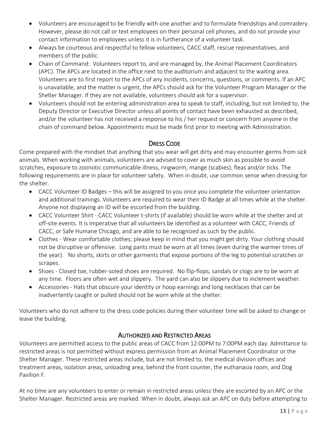- Volunteers are encouraged to be friendly with one another and to formulate friendships and comradery. However, please do not call or text employees on their personal cell phones, and do not provide your contact information to employees unless it is in furtherance of a volunteer task.
- Always be courteous and respectful to fellow volunteers, CACC staff, rescue representatives, and members of the public.
- Chain of Command: Volunteers report to, and are managed by, the Animal Placement Coordinators (APC). The APCs are located in the office next to the auditorium and adjacent to the waiting area. Volunteers are to first report to the APCs of any incidents, concerns, questions, or comments. If an APC is unavailable, and the matter is urgent, the APCs should ask for the Volunteer Program Manager or the Shelter Manager. If they are not available, volunteers should ask for a supervisor.
- Volunteers should not be entering administration area to speak to staff, including, but not limited to, the Deputy Director or Executive Director unless all points of contact have been exhausted as described, and/or the volunteer has not received a response to his / her request or concern from anyone in the chain of command below. Appointments must be made first prior to meeting with Administration.

# DRESS CODE

Come prepared with the mindset that anything that you wear will get dirty and may encounter germs from sick animals. When working with animals, volunteers are advised to cover as much skin as possible to avoid scratches, exposure to zoonotic communicable illness, ringworm, mange (scabies), fleas and/or ticks. The following requirements are in place for volunteer safety. When in doubt, use common sense when dressing for the shelter.

- CACC Volunteer ID Badges this will be assigned to you once you complete the volunteer orientation and additional trainings. Volunteers are required to wear their ID Badge at all times while at the shelter. Anyone not displaying an ID will be escorted from the building.
- CACC Volunteer Shirt CACC Volunteer t-shirts (if available) should be worn while at the shelter and at off-site events. It is imperative that all volunteers be identified as a volunteer with CACC, Friends of CACC, or Safe Humane Chicago, and are able to be recognized as such by the public.
- Clothes Wear comfortable clothes; please keep in mind that you might get dirty. Your clothing should not be disruptive or offensive. Long pants must be worn at all times (even during the warmer times of the year). No shorts, skirts or other garments that expose portions of the leg to potential scratches or scrapes.
- Shoes Closed toe, rubber-soled shoes are required. No flip-flops, sandals or clogs are to be worn at any time. Floors are often wet and slippery. The yard can also be slippery due to inclement weather.
- Accessories Hats that obscure your identity or hoop earnings and long necklaces that can be inadvertently caught or pulled should not be worn while at the shelter.

Volunteers who do not adhere to the dress code policies during their volunteer time will be asked to change or leave the building.

# AUTHORIZED AND RESTRICTED AREAS

Volunteers are permitted access to the public areas of CACC from 12:00PM to 7:00PM each day. Admittance to restricted areas is not permitted without express permission from an Animal Placement Coordinator or the Shelter Manager. These restricted areas include, but are not limited to, the medical division offices and treatment areas, isolation areas, unloading area, behind the front counter, the euthanasia room, and Dog Pavilion F.

At no time are any volunteers to enter or remain in restricted areas unless they are escorted by an APC or the Shelter Manager. Restricted areas are marked. When in doubt, always ask an APC on duty before attempting to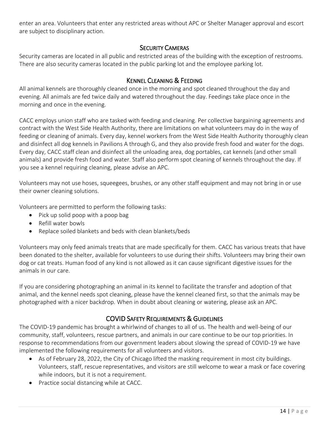enter an area. Volunteers that enter any restricted areas without APC or Shelter Manager approval and escort are subject to disciplinary action.

# SECURITY CAMERAS

Security cameras are located in all public and restricted areas of the building with the exception of restrooms. There are also security cameras located in the public parking lot and the employee parking lot.

# KENNEL CLEANING & FEEDING

All animal kennels are thoroughly cleaned once in the morning and spot cleaned throughout the day and evening. All animals are fed twice daily and watered throughout the day. Feedings take place once in the morning and once in the evening.

CACC employs union staff who are tasked with feeding and cleaning. Per collective bargaining agreements and contract with the West Side Health Authority, there are limitations on what volunteers may do in the way of feeding or cleaning of animals. Every day, kennel workers from the West Side Health Authority thoroughly clean and disinfect all dog kennels in Pavilions A through G, and they also provide fresh food and water for the dogs. Every day, CACC staff clean and disinfect all the unloading area, dog portables, cat kennels (and other small animals) and provide fresh food and water. Staff also perform spot cleaning of kennels throughout the day. If you see a kennel requiring cleaning, please advise an APC.

Volunteers may not use hoses, squeegees, brushes, or any other staff equipment and may not bring in or use their owner cleaning solutions.

Volunteers are permitted to perform the following tasks:

- Pick up solid poop with a poop bag
- Refill water bowls
- Replace soiled blankets and beds with clean blankets/beds

Volunteers may only feed animals treats that are made specifically for them. CACC has various treats that have been donated to the shelter, available for volunteers to use during their shifts. Volunteers may bring their own dog or cat treats. Human food of any kind is not allowed as it can cause significant digestive issues for the animals in our care.

If you are considering photographing an animal in its kennel to facilitate the transfer and adoption of that animal, and the kennel needs spot cleaning, please have the kennel cleaned first, so that the animals may be photographed with a nicer backdrop. When in doubt about cleaning or watering, please ask an APC.

# COVID SAFETY REQUIREMENTS & GUIDELINES

The COVID-19 pandemic has brought a whirlwind of changes to all of us. The health and well-being of our community, staff, volunteers, rescue partners, and animals in our care continue to be our top priorities. In response to recommendations from our government leaders about slowing the spread of COVID-19 we have implemented the following requirements for all volunteers and visitors.

- As of February 28, 2022, the City of Chicago lifted the masking requirement in most city buildings. Volunteers, staff, rescue representatives, and visitors are still welcome to wear a mask or face covering while indoors, but it is not a requirement.
- Practice social distancing while at CACC.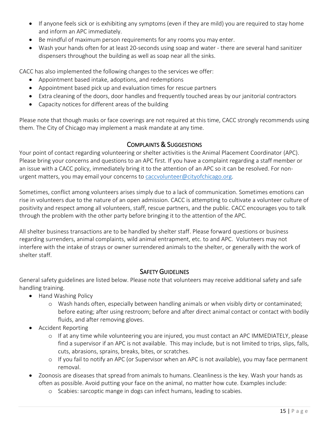- If anyone feels sick or is exhibiting any symptoms (even if they are mild) you are required to stay home and inform an APC immediately.
- Be mindful of maximum person requirements for any rooms you may enter.
- Wash your hands often for at least 20-seconds using soap and water there are several hand sanitizer dispensers throughout the building as well as soap near all the sinks.

CACC has also implemented the following changes to the services we offer:

- Appointment based intake, adoptions, and redemptions
- Appointment based pick up and evaluation times for rescue partners
- Extra cleaning of the doors, door handles and frequently touched areas by our janitorial contractors
- Capacity notices for different areas of the building

Please note that though masks or face coverings are not required at this time, CACC strongly recommends using them. The City of Chicago may implement a mask mandate at any time.

#### COMPLAINTS & SUGGESTIONS

Your point of contact regarding volunteering or shelter activities is the Animal Placement Coordinator (APC). Please bring your concerns and questions to an APC first. If you have a complaint regarding a staff member or an issue with a CACC policy, immediately bring it to the attention of an APC so it can be resolved. For nonurgent matters, you may email your concerns to caccvolunteer@cityofchicago.org.

Sometimes, conflict among volunteers arises simply due to a lack of communication. Sometimes emotions can rise in volunteers due to the nature of an open admission. CACC is attempting to cultivate a volunteer culture of positivity and respect among all volunteers, staff, rescue partners, and the public. CACC encourages you to talk through the problem with the other party before bringing it to the attention of the APC.

All shelter business transactions are to be handled by shelter staff. Please forward questions or business regarding surrenders, animal complaints, wild animal entrapment, etc. to and APC. Volunteers may not interfere with the intake of strays or owner surrendered animals to the shelter, or generally with the work of shelter staff.

#### SAFETY GUIDELINES

General safety guidelines are listed below. Please note that volunteers may receive additional safety and safe handling training.

- Hand Washing Policy
	- o Wash hands often, especially between handling animals or when visibly dirty or contaminated; before eating; after using restroom; before and after direct animal contact or contact with bodily fluids, and after removing gloves.
- Accident Reporting
	- o If at any time while volunteering you are injured, you must contact an APC IMMEDIATELY, please find a supervisor if an APC is not available. This may include, but is not limited to trips, slips, falls, cuts, abrasions, sprains, breaks, bites, or scratches.
	- o If you fail to notify an APC (or Supervisor when an APC is not available), you may face permanent removal.
- Zoonosis are diseases that spread from animals to humans. Cleanliness is the key. Wash your hands as often as possible. Avoid putting your face on the animal, no matter how cute. Examples include:
	- o Scabies: sarcoptic mange in dogs can infect humans, leading to scabies.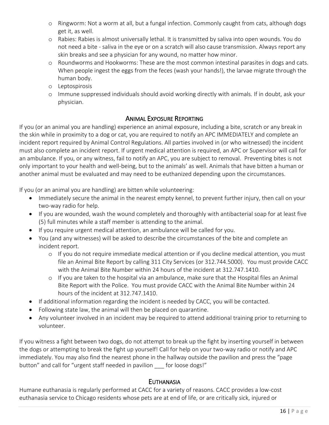- o Ringworm: Not a worm at all, but a fungal infection. Commonly caught from cats, although dogs get it, as well.
- o Rabies: Rabies is almost universally lethal. It is transmitted by saliva into open wounds. You do not need a bite - saliva in the eye or on a scratch will also cause transmission. Always report any skin breaks and see a physician for any wound, no matter how minor.
- o Roundworms and Hookworms: These are the most common intestinal parasites in dogs and cats. When people ingest the eggs from the feces (wash your hands!), the larvae migrate through the human body.
- o Leptospirosis
- o Immune suppressed individuals should avoid working directly with animals. If in doubt, ask your physician.

# ANIMAL EXPOSURE REPORTING

If you (or an animal you are handling) experience an animal exposure, including a bite, scratch or any break in the skin while in proximity to a dog or cat, you are required to notify an APC IMMEDIATELY and complete an incident report required by Animal Control Regulations. All parties involved in (or who witnessed) the incident must also complete an incident report. If urgent medical attention is required, an APC or Supervisor will call for an ambulance. If you, or any witness, fail to notify an APC, you are subject to removal. Preventing bites is not only important to your health and well-being, but to the animals' as well. Animals that have bitten a human or another animal must be evaluated and may need to be euthanized depending upon the circumstances.

If you (or an animal you are handling) are bitten while volunteering:

- Immediately secure the animal in the nearest empty kennel, to prevent further injury, then call on your two-way radio for help.
- If you are wounded, wash the wound completely and thoroughly with antibacterial soap for at least five (5) full minutes while a staff member is attending to the animal.
- If you require urgent medical attention, an ambulance will be called for you.
- You (and any witnesses) will be asked to describe the circumstances of the bite and complete an incident report.
	- o If you do not require immediate medical attention or if you decline medical attention, you must file an Animal Bite Report by calling 311 City Services (or 312.744.5000). You must provide CACC with the Animal Bite Number within 24 hours of the incident at 312.747.1410.
	- o If you are taken to the hospital via an ambulance, make sure that the Hospital files an Animal Bite Report with the Police. You must provide CACC with the Animal Bite Number within 24 hours of the incident at 312.747.1410.
- If additional information regarding the incident is needed by CACC, you will be contacted.
- Following state law, the animal will then be placed on quarantine.
- Any volunteer involved in an incident may be required to attend additional training prior to returning to volunteer.

If you witness a fight between two dogs, do not attempt to break up the fight by inserting yourself in between the dogs or attempting to break the fight up yourself! Call for help on your two-way radio or notify and APC immediately. You may also find the nearest phone in the hallway outside the pavilion and press the "page button" and call for "urgent staff needed in pavilion for loose dogs!"

# **EUTHANASIA**

Humane euthanasia is regularly performed at CACC for a variety of reasons. CACC provides a low-cost euthanasia service to Chicago residents whose pets are at end of life, or are critically sick, injured or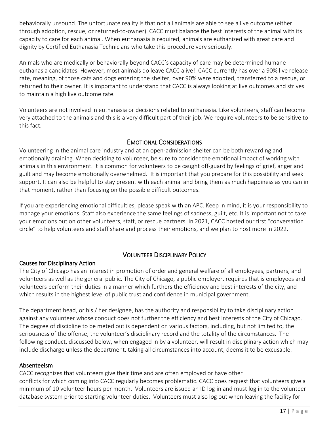behaviorally unsound. The unfortunate reality is that not all animals are able to see a live outcome (either through adoption, rescue, or returned-to-owner). CACC must balance the best interests of the animal with its capacity to care for each animal. When euthanasia is required, animals are euthanized with great care and dignity by Certified Euthanasia Technicians who take this procedure very seriously.

Animals who are medically or behaviorally beyond CACC's capacity of care may be determined humane euthanasia candidates. However, most animals do leave CACC alive! CACC currently has over a 90% live release rate, meaning, of those cats and dogs entering the shelter, over 90% were adopted, transferred to a rescue, or returned to their owner. It is important to understand that CACC is always looking at live outcomes and strives to maintain a high live outcome rate.

Volunteers are not involved in euthanasia or decisions related to euthanasia. Like volunteers, staff can become very attached to the animals and this is a very difficult part of their job. We require volunteers to be sensitive to this fact.

#### EMOTIONAL CONSIDERATIONS

Volunteering in the animal care industry and at an open-admission shelter can be both rewarding and emotionally draining. When deciding to volunteer, be sure to consider the emotional impact of working with animals in this environment. It is common for volunteers to be caught off-guard by feelings of grief, anger and guilt and may become emotionally overwhelmed. It is important that you prepare for this possibility and seek support. It can also be helpful to stay present with each animal and bring them as much happiness as you can in that moment, rather than focusing on the possible difficult outcomes.

If you are experiencing emotional difficulties, please speak with an APC. Keep in mind, it is your responsibility to manage your emotions. Staff also experience the same feelings of sadness, guilt, etc. It is important not to take your emotions out on other volunteers, staff, or rescue partners. In 2021, CACC hosted our first "conversation circle" to help volunteers and staff share and process their emotions, and we plan to host more in 2022.

# VOLUNTEER DISCIPLINARY POLICY

#### Causes for Disciplinary Action

The City of Chicago has an interest in promotion of order and general welfare of all employees, partners, and volunteers as well as the general public. The City of Chicago, a public employer, requires that is employees and volunteers perform their duties in a manner which furthers the efficiency and best interests of the city, and which results in the highest level of public trust and confidence in municipal government.

The department head, or his / her designee, has the authority and responsibility to take disciplinary action against any volunteer whose conduct does not further the efficiency and best interests of the City of Chicago. The degree of discipline to be meted out is dependent on various factors, including, but not limited to, the seriousness of the offense, the volunteer's disciplinary record and the totality of the circumstances. The following conduct, discussed below, when engaged in by a volunteer, will result in disciplinary action which may include discharge unless the department, taking all circumstances into account, deems it to be excusable.

#### Absenteeism

CACC recognizes that volunteers give their time and are often employed or have other conflicts for which coming into CACC regularly becomes problematic. CACC does request that volunteers give a minimum of 10 volunteer hours per month. Volunteers are issued an ID log in and must log in to the volunteer database system prior to starting volunteer duties. Volunteers must also log out when leaving the facility for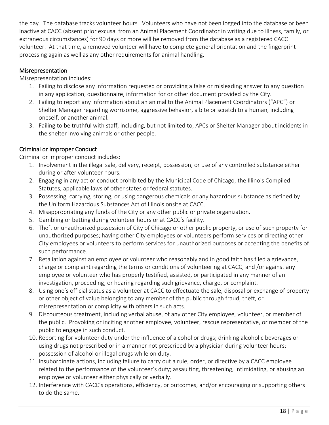the day. The database tracks volunteer hours. Volunteers who have not been logged into the database or been inactive at CACC (absent prior excusal from an Animal Placement Coordinator in writing due to illness, family, or extraneous circumstances) for 90 days or more will be removed from the database as a registered CACC volunteer. At that time, a removed volunteer will have to complete general orientation and the fingerprint processing again as well as any other requirements for animal handling.

#### Misrepresentation

Misrepresentation includes:

- 1. Failing to disclose any information requested or providing a false or misleading answer to any question in any application, questionnaire, information for or other document provided by the City.
- 2. Failing to report any information about an animal to the Animal Placement Coordinators ("APC") or Shelter Manager regarding worrisome, aggressive behavior, a bite or scratch to a human, including oneself, or another animal.
- 3. Failing to be truthful with staff, including, but not limited to, APCs or Shelter Manager about incidents in the shelter involving animals or other people.

# Criminal or Improper Conduct

Criminal or improper conduct includes:

- 1. Involvement in the illegal sale, delivery, receipt, possession, or use of any controlled substance either during or after volunteer hours.
- 2. Engaging in any act or conduct prohibited by the Municipal Code of Chicago, the Illinois Compiled Statutes, applicable laws of other states or federal statutes.
- 3. Possessing, carrying, storing, or using dangerous chemicals or any hazardous substance as defined by the Uniform Hazardous Substances Act of Illinois onsite at CACC.
- 4. Misappropriating any funds of the City or any other public or private organization.
- 5. Gambling or betting during volunteer hours or at CACC's facility.
- 6. Theft or unauthorized possession of City of Chicago or other public property, or use of such property for unauthorized purposes; having other City employees or volunteers perform services or directing other City employees or volunteers to perform services for unauthorized purposes or accepting the benefits of such performance.
- 7. Retaliation against an employee or volunteer who reasonably and in good faith has filed a grievance, charge or complaint regarding the terms or conditions of volunteering at CACC; and /or against any employee or volunteer who has properly testified, assisted, or participated in any manner of an investigation, proceeding, or hearing regarding such grievance, charge, or complaint.
- 8. Using one's official status as a volunteer at CACC to effectuate the sale, disposal or exchange of property or other object of value belonging to any member of the public through fraud, theft, or misrepresentation or complicity with others in such acts.
- 9. Discourteous treatment, including verbal abuse, of any other City employee, volunteer, or member of the public. Provoking or inciting another employee, volunteer, rescue representative, or member of the public to engage in such conduct.
- 10. Reporting for volunteer duty under the influence of alcohol or drugs; drinking alcoholic beverages or using drugs not prescribed or in a manner not prescribed by a physician during volunteer hours; possession of alcohol or illegal drugs while on duty.
- 11. Insubordinate actions, including failure to carry out a rule, order, or directive by a CACC employee related to the performance of the volunteer's duty; assaulting, threatening, intimidating, or abusing an employee or volunteer either physically or verbally.
- 12. Interference with CACC's operations, efficiency, or outcomes, and/or encouraging or supporting others to do the same.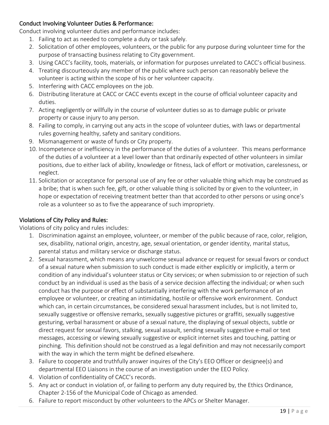#### Conduct Involving Volunteer Duties & Performance:

Conduct involving volunteer duties and performance includes:

- 1. Failing to act as needed to complete a duty or task safely.
- 2. Solicitation of other employees, volunteers, or the public for any purpose during volunteer time for the purpose of transacting business relating to City government.
- 3. Using CACC's facility, tools, materials, or information for purposes unrelated to CACC's official business.
- 4. Treating discourteously any member of the public where such person can reasonably believe the volunteer is acting within the scope of his or her volunteer capacity.
- 5. Interfering with CACC employees on the job.
- 6. Distributing literature at CACC or CACC events except in the course of official volunteer capacity and duties.
- 7. Acting negligently or willfully in the course of volunteer duties so as to damage public or private property or cause injury to any person.
- 8. Failing to comply, in carrying out any acts in the scope of volunteer duties, with laws or departmental rules governing healthy, safety and sanitary conditions.
- 9. Mismanagement or waste of funds or City property.
- 10. Incompetence or inefficiency in the performance of the duties of a volunteer. This means performance of the duties of a volunteer at a level lower than that ordinarily expected of other volunteers in similar positions, due to either lack of ability, knowledge or fitness, lack of effort or motivation, carelessness, or neglect.
- 11. Solicitation or acceptance for personal use of any fee or other valuable thing which may be construed as a bribe; that is when such fee, gift, or other valuable thing is solicited by or given to the volunteer, in hope or expectation of receiving treatment better than that accorded to other persons or using once's role as a volunteer so as to five the appearance of such impropriety.

#### Violations of City Policy and Rules:

Violations of city policy and rules includes:

- 1. Discrimination against an employee, volunteer, or member of the public because of race, color, religion, sex, disability, national origin, ancestry, age, sexual orientation, or gender identity, marital status, parental status and military service or discharge status.
- 2. Sexual harassment, which means any unwelcome sexual advance or request for sexual favors or conduct of a sexual nature when submission to such conduct is made either explicitly or implicitly, a term or condition of any individual's volunteer status or City services; or when submission to or rejection of such conduct by an individual is used as the basis of a service decision affecting the individual; or when such conduct has the purpose or effect of substantially interfering with the work performance of an employee or volunteer, or creating an intimidating, hostile or offensive work environment. Conduct which can, in certain circumstances, be considered sexual harassment includes, but is not limited to, sexually suggestive or offensive remarks, sexually suggestive pictures or graffiti, sexually suggestive gesturing, verbal harassment or abuse of a sexual nature, the displaying of sexual objects, subtle or direct request for sexual favors, stalking, sexual assault, sending sexually suggestive e-mail or text messages, accessing or viewing sexually suggestive or explicit internet sites and touching, patting or pinching. This definition should not be construed as a legal definition and may not necessarily comport with the way in which the term might be defined elsewhere.
- 3. Failure to cooperate and truthfully answer inquires of the City's EEO Officer or designee(s) and departmental EEO Liaisons in the course of an investigation under the EEO Policy.
- 4. Violation of confidentiality of CACC's records.
- 5. Any act or conduct in violation of, or failing to perform any duty required by, the Ethics Ordinance, Chapter 2-156 of the Municipal Code of Chicago as amended.
- 6. Failure to report misconduct by other volunteers to the APCs or Shelter Manager.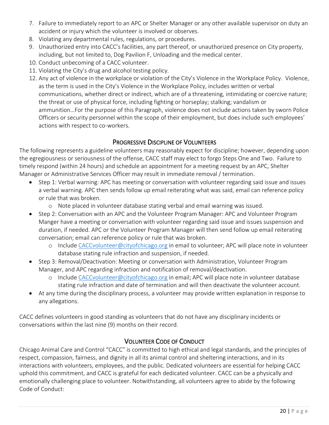- 7. Failure to immediately report to an APC or Shelter Manager or any other available supervisor on duty an accident or injury which the volunteer is involved or observes.
- 8. Violating any departmental rules, regulations, or procedures.
- 9. Unauthorized entry into CACC's facilities, any part thereof, or unauthorized presence on City property, including, but not limited to, Dog Pavilion F, Unloading and the medical center.
- 10. Conduct unbecoming of a CACC volunteer.
- 11. Violating the City's drug and alcohol testing policy.
- 12. Any act of violence in the workplace or violation of the City's Violence in the Workplace Policy. Violence, as the term is used in the City's Violence in the Workplace Policy, includes written or verbal communications, whether direct or indirect, which are of a threatening, intimidating or coercive nature; the threat or use of physical force, including fighting or horseplay; stalking; vandalism or ammunition…For the purpose of this Paragraph, violence does not include actions taken by sworn Police Officers or security personnel within the scope of their employment, but does include such employees' actions with respect to co-workers.

# PROGRESSIVE DISCIPLINE OF VOLUNTEERS

The following represents a guideline volunteers may reasonably expect for discipline; however, depending upon the egregiousness or seriousness of the offense, CACC staff may elect to forgo Steps One and Two. Failure to timely respond (within 24 hours) and schedule an appointment for a meeting request by an APC, Shelter Manager or Administrative Services Officer may result in immediate removal / termination.

- Step 1: Verbal warning: APC has meeting or conversation with volunteer regarding said issue and issues a verbal warning. APC then sends follow up email reiterating what was said, email can reference policy or rule that was broken.
	- o Note placed in volunteer database stating verbal and email warning was issued.
- Step 2: Conversation with an APC and the Volunteer Program Manager: APC and Volunteer Program Manger have a meeting or conversation with volunteer regarding said issue and issues suspension and duration, if needed. APC or the Volunteer Program Manager will then send follow up email reiterating conversation; email can reference policy or rule that was broken.
	- o Include CACCvolunteer@cityofchicago.org in email to volunteer; APC will place note in volunteer database stating rule infraction and suspension, if needed.
- Step 3: Removal/Deactivation: Meeting or conversation with Administration, Volunteer Program Manager, and APC regarding infraction and notification of removal/deactivation.
	- o Include CACCvolunteer@cityofchicago.org in email; APC will place note in volunteer database stating rule infraction and date of termination and will then deactivate the volunteer account.
- At any time during the disciplinary process, a volunteer may provide written explanation in response to any allegations.

CACC defines volunteers in good standing as volunteers that do not have any disciplinary incidents or conversations within the last nine (9) months on their record.

# VOLUNTEER CODE OF CONDUCT

Chicago Animal Care and Control "CACC" is committed to high ethical and legal standards, and the principles of respect, compassion, fairness, and dignity in all its animal control and sheltering interactions, and in its interactions with volunteers, employees, and the public. Dedicated volunteers are essential for helping CACC uphold this commitment, and CACC is grateful for each dedicated volunteer. CACC can be a physically and emotionally challenging place to volunteer. Notwithstanding, all volunteers agree to abide by the following Code of Conduct: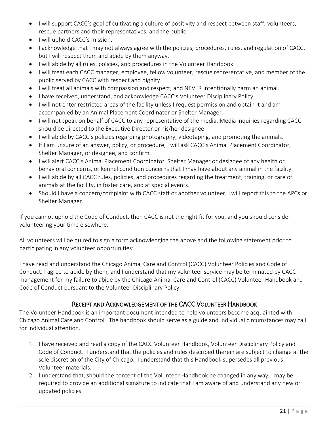- I will support CACC's goal of cultivating a culture of positivity and respect between staff, volunteers, rescue partners and their representatives, and the public.
- I will uphold CACC's mission.
- I acknowledge that I may not always agree with the policies, procedures, rules, and regulation of CACC, but I will respect them and abide by them anyway.
- I will abide by all rules, policies, and procedures in the Volunteer Handbook.
- I will treat each CACC manager, employee, fellow volunteer, rescue representative, and member of the public served by CACC with respect and dignity.
- I will treat all animals with compassion and respect, and NEVER intentionally harm an animal.
- I have received, understand, and acknowledge CACC's Volunteer Disciplinary Policy.
- I will not enter restricted areas of the facility unless I request permission and obtain it and am accompanied by an Animal Placement Coordinator or Shelter Manager.
- I will not speak on behalf of CACC to any representative of the media. Media inquiries regarding CACC should be directed to the Executive Director or his/her designee.
- I will abide by CACC's policies regarding photography, videotaping, and promoting the animals.
- If I am unsure of an answer, policy, or procedure, I will ask CACC's Animal Placement Coordinator, Shelter Manager, or designee, and confirm.
- I will alert CACC's Animal Placement Coordinator, Shelter Manager or designee of any health or behavioral concerns, or kennel condition concerns that I may have about any animal in the facility.
- I will abide by all CACC rules, policies, and procedures regarding the treatment, training, or care of animals at the facility, in foster care, and at special events.
- Should I have a concern/complaint with CACC staff or another volunteer, I will report this to the APCs or Shelter Manager.

If you cannot uphold the Code of Conduct, then CACC is not the right fit for you, and you should consider volunteering your time elsewhere.

All volunteers will be quired to sign a form acknowledging the above and the following statement prior to participating in any volunteer opportunities:

I have read and understand the Chicago Animal Care and Control (CACC) Volunteer Policies and Code of Conduct. I agree to abide by them, and I understand that my volunteer service may be terminated by CACC management for my failure to abide by the Chicago Animal Care and Control (CACC) Volunteer Handbook and Code of Conduct pursuant to the Volunteer Disciplinary Policy.

# RECEIPT AND ACKNOWLEDGEMENT OF THE CACC VOLUNTEER HANDBOOK

The Volunteer Handbook is an important document intended to help volunteers become acquainted with Chicago Animal Care and Control. The handbook should serve as a guide and individual circumstances may call for individual attention.

- 1. I have received and read a copy of the CACC Volunteer Handbook, Volunteer Disciplinary Policy and Code of Conduct. I understand that the policies and rules described therein are subject to change at the sole discretion of the City of Chicago. I understand that this Handbook supersedes all previous Volunteer materials.
- 2. I understand that, should the content of the Volunteer Handbook be changed in any way, I may be required to provide an additional signature to indicate that I am aware of and understand any new or updated policies.